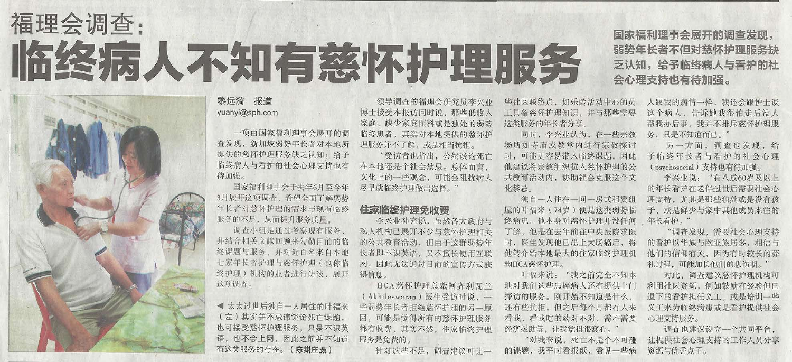# 福理会调查: 临终病人不知有慈怀护理服务



#### 黎远漪 报道 yuanyi@sph.com

一项由国家福利理事会展开的调 查发现, 新加坡弱势年长者对本地所 提供的慈怀护理服务缺乏认知; 给予 临终病人与看护的社会心理支持也有 待加强。

国家福利理事会于去年6月至今年 3月展开这项调查,希望全面了解弱势 年长者对慈怀护理的需求与现有临终 服务的不足, 从而提升服务质量。

调查小组是通过考察现有服务。 并结合相关文献回顾来勾勒目前的临 终课题与服务,并对近百名来自本地 七家年长者护理与慈怀护理(也称临 终护理)机构的业者进行访谈,展开 汶项调查。

◀ 太太过世后独自一人居住的叶福来 (左)其实并不忌讳谈论死亡课题 也可接受慈怀护理服务,只是不识英 语,也不会上网,因此之前并不知道 有这类服务的存在。(陈渊庄摄)

领导调查的福理会研究员李兴业 博士接受本报访问时说, 那些低收入 家庭、缺少家庭照料或是独处的弱势 临终患者、其实对本地提供的慈怀护 理服务并不了解, 或是相当抗拒。

"受访者也指出, 公然谈论死亡 在本地还是个社会禁忌。总体而言, 文化上的一些观念, 可能会阻扰病人 尽早就临终护理做出洗择。"

## 住家临终护理免收费

李兴业补充说, 虽然各大政府与 私人机构已展开不少与慈怀护理相关 的公共教育活动、但由于汶群弱势年 长者即不识英语, 又不擅长使用互联 网、因此无法通过目前的宣传方式获 得信息。

HCA慈怀护理总裁阿齐利瓦兰 (Akhileswaran) 医生受访时说. 一 些弱势年长者拒绝慈怀护理的另一原 因,可能是觉得所有的慈怀护理服务 都有收费, 其实不然, 住家临终护理 服务是免费的。

针对这些不足,调查建议可让一

些社区联络点,如乐龄活动中心的员 工具备慈怀护理知识,并与那些需要 这类服务的年长者分享。

同时,李兴业认为,在一些宗教 场所如寺庙或教堂内讲行宗教探讨 时,可能更容易带入临终课题,因此 他建议将宗教组织拉入慈怀护理的公 共教育活动内、协助社会克服这个文 化埜忌。

独自一人住在一间一房式和赁组 屋的叶福来(74岁)便是这类弱势临 终病患。他本身对慈怀护理并没任何 了解, 他是在去年前往中央医院求医 时、医生发现他已患上大肠癌后、将 他转介给本地最大的住家临终护理机 构HCA慈怀护理。

叶福来说: "我之前完全不知本 地对我们这些患癌病人还有提供上门 探访的服务。刚开始不知道是什么, 还有些抗拒, 但之后每个月都有人来 看我,看我吃的药对不对,需不需要 经济援助等, 计我觉得很窝心。"

"对我来说,死亡不是个不可碰 的课题, 我平时看报纸, 看见一些病

国家福利理事会展开的调查发现, 弱势年长者不但对慈怀护理服务缺 乏认知, 给予临终病人与看护的社 会心理支持也有待加强。

> 人跟我的病情一样, 我还会跟护十谈 这个病人, 告诉她我很怕走后没人 帮我办后事, 我并不排斥慈怀护理服 务,只是不知道而已。"

另一方面、调查也发现,给 予临终年长者与看护的社会心理 (psychosocial)支持也有待加强。

李兴业说: "有八成60岁及以上 的年长看护在老伴过世后需要社会心 理支持, 尤其是那些独处或是没有孩 子, 或是鲜少与家中其他成员来往的 年长看护。"

"调查发现,需要社会心理支持 的看护以华族与欧亚族居多, 相信与 他们的信仰有关, 因为有时较长的葬 礼过程,可能加长他们的悲伤期。"

对此、调查建议慈怀护理机构可 利用社区资源, 例如鼓励有经验但已 退下的看护担任义工, 或是培训一些 义工来为临终病患或是看护提供社会 心理支持服务。

调查也建议设立一个共同平台, 让提供社会心理支持的工作人员分享 资源与优秀点子。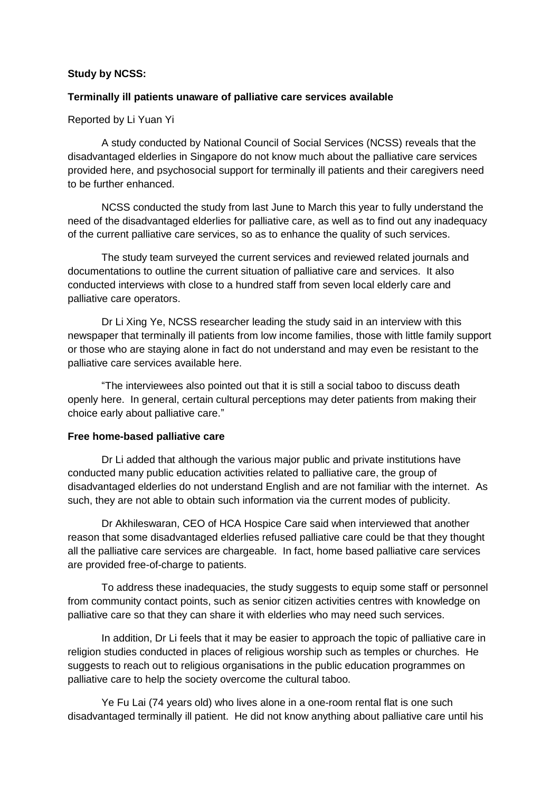### **Study by NCSS:**

### **Terminally ill patients unaware of palliative care services available**

### Reported by Li Yuan Yi

A study conducted by National Council of Social Services (NCSS) reveals that the disadvantaged elderlies in Singapore do not know much about the palliative care services provided here, and psychosocial support for terminally ill patients and their caregivers need to be further enhanced.

NCSS conducted the study from last June to March this year to fully understand the need of the disadvantaged elderlies for palliative care, as well as to find out any inadequacy of the current palliative care services, so as to enhance the quality of such services.

The study team surveyed the current services and reviewed related journals and documentations to outline the current situation of palliative care and services. It also conducted interviews with close to a hundred staff from seven local elderly care and palliative care operators.

Dr Li Xing Ye, NCSS researcher leading the study said in an interview with this newspaper that terminally ill patients from low income families, those with little family support or those who are staying alone in fact do not understand and may even be resistant to the palliative care services available here.

"The interviewees also pointed out that it is still a social taboo to discuss death openly here. In general, certain cultural perceptions may deter patients from making their choice early about palliative care."

#### **Free home-based palliative care**

Dr Li added that although the various major public and private institutions have conducted many public education activities related to palliative care, the group of disadvantaged elderlies do not understand English and are not familiar with the internet. As such, they are not able to obtain such information via the current modes of publicity.

Dr Akhileswaran, CEO of HCA Hospice Care said when interviewed that another reason that some disadvantaged elderlies refused palliative care could be that they thought all the palliative care services are chargeable. In fact, home based palliative care services are provided free-of-charge to patients.

To address these inadequacies, the study suggests to equip some staff or personnel from community contact points, such as senior citizen activities centres with knowledge on palliative care so that they can share it with elderlies who may need such services.

In addition, Dr Li feels that it may be easier to approach the topic of palliative care in religion studies conducted in places of religious worship such as temples or churches. He suggests to reach out to religious organisations in the public education programmes on palliative care to help the society overcome the cultural taboo.

Ye Fu Lai (74 years old) who lives alone in a one-room rental flat is one such disadvantaged terminally ill patient. He did not know anything about palliative care until his